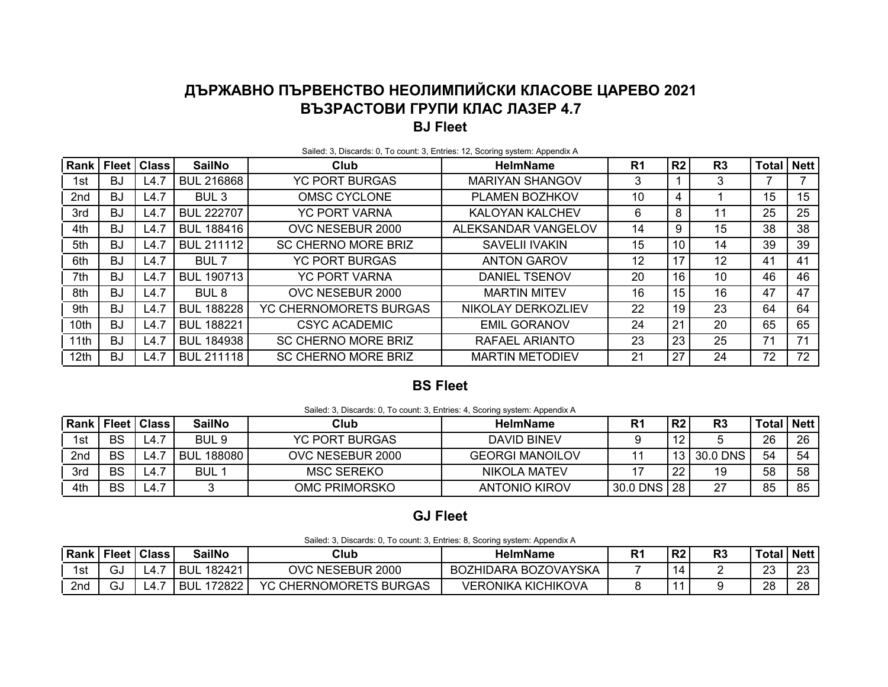# **ДЪРЖАВНО ПЪРВЕНСТВО НЕОЛИМПИЙСКИ КЛАСОВЕ ЦАРЕВО 2021 ВЪЗРАСТОВИ ГРУПИ КЛАС ЛАЗЕР 4.7 BJ Fleet**

| Rank | <b>Fleet</b> | <b>Class</b> | <b>SailNo</b>     | Club                       | <b>HelmName</b>        | R <sub>1</sub> | R <sub>2</sub> | R <sub>3</sub>    | <b>Total</b> | <b>Nett</b> |
|------|--------------|--------------|-------------------|----------------------------|------------------------|----------------|----------------|-------------------|--------------|-------------|
| 1st  | BJ           | L4.7         | <b>BUL 216868</b> | <b>YC PORT BURGAS</b>      | <b>MARIYAN SHANGOV</b> | 3              |                | 3                 |              |             |
| 2nd  | BJ           | L4.7         | BUL <sub>3</sub>  | <b>OMSC CYCLONE</b>        | PLAMEN BOZHKOV         | 10             | 4              |                   | 15           | 15          |
| 3rd  | BJ           | L4.7         | <b>BUL 222707</b> | <b>YC PORT VARNA</b>       | <b>KALOYAN KALCHEV</b> | 6              | 8              | 11                | 25           | 25          |
| 4th  | BJ           | L4.7         | <b>BUL 188416</b> | OVC NESEBUR 2000           | ALEKSANDAR VANGELOV    | 14             | 9              | 15                | 38           | 38          |
| 5th  | BJ           | L4.7         | <b>BUL 211112</b> | <b>SC CHERNO MORE BRIZ</b> | <b>SAVELII IVAKIN</b>  | 15             | 10             | 14                | 39           | 39          |
| 6th  | ВJ           | L4.7         | BUL 7             | <b>YC PORT BURGAS</b>      | <b>ANTON GAROV</b>     | 12             | 17             | $12 \overline{ }$ | 41           | 41          |
| 7th  | BJ           | L4.7         | <b>BUL 190713</b> | <b>YC PORT VARNA</b>       | <b>DANIEL TSENOV</b>   | 20             | 16             | 10                | 46           | 46          |
| 8th  | BJ           | L4.7         | BUL <sub>8</sub>  | OVC NESEBUR 2000           | <b>MARTIN MITEV</b>    | 16             | 15             | 16                | 47           | 47          |
| 9th  | BJ           | L4.7         | <b>BUL 188228</b> | YC CHERNOMORETS BURGAS     | NIKOLAY DERKOZLIEV     | 22             | 19             | 23                | 64           | 64          |
| 10th | BJ           | L4.7         | <b>BUL 188221</b> | <b>CSYC ACADEMIC</b>       | <b>EMIL GORANOV</b>    | 24             | 21             | 20                | 65           | 65          |
| 11th | BJ           | L4.7         | <b>BUL 184938</b> | <b>SC CHERNO MORE BRIZ</b> | RAFAEL ARIANTO         | 23             | 23             | 25                | 71           | 71          |
| 12th | BJ           | L4.7         | <b>BUL 211118</b> | <b>SC CHERNO MORE BRIZ</b> | <b>MARTIN METODIEV</b> | 21             | 27             | 24                | 72           | 72          |

#### Sailed: 3, Discards: 0, To count: 3, Entries: 12, Scoring system: Appendix A

#### **BS Fleet**

| Sailed: 3, Discards: 0, To count: 3, Entries: 4, Scoring system: Appendix A |  |
|-----------------------------------------------------------------------------|--|
|                                                                             |  |

| Rank |           | <b>Fleet   Class  </b> | <b>SailNo</b>        | Club                  | <b>HelmName</b>        | в,       | פם   | R <sub>3</sub> | Total I | Nett |
|------|-----------|------------------------|----------------------|-----------------------|------------------------|----------|------|----------------|---------|------|
| 1st  | BS        | 4.7ء                   | BUL <sub>9</sub>     | <b>YC PORT BURGAS</b> | DAVID BINEV            |          |      |                | 26      | 26   |
| 2nd  | BS        | -4.7                   | 188080<br><b>BUL</b> | OVC NESEBUR 2000      | <b>GEORGI MANOILOV</b> |          | 13 I | 30.0 DNS       | 54      | 54   |
| 3rd  | BS        | _4.7                   | BUL 1                | MSC SEREKO            | NIKOLA MATEV           |          | ົດຕ  |                | 58      | 58   |
| 4th  | <b>BS</b> | 4.7ء                   | ⌒                    | OMC PRIMORSKO         | <b>ANTONIO KIROV</b>   | 30.0 DNS | -28  | $\sim$         | 85      | QΓ   |

### **GJ Fleet**

| Sailed: 3, Discards: 0, To count: 3, Entries: 8, Scoring system: Appendix A |  |  |  |  |
|-----------------------------------------------------------------------------|--|--|--|--|
|-----------------------------------------------------------------------------|--|--|--|--|

| Rank |     | Fleet   Class | <b>SailNo</b>        | Club                   | <b>HelmName</b>             | D, | R <sub>2</sub> | D.<br>n. | Total    | <b>Nett</b> |
|------|-----|---------------|----------------------|------------------------|-----------------------------|----|----------------|----------|----------|-------------|
|      | ىت  | L4.           | 182421<br><b>BUL</b> | NESEBUR 2000<br>NVC    | <b>BOZHIDARA BOZOVAYSKA</b> |    | $\Delta$       |          | ററ<br>∠∪ | $\sim$      |
| 2nd  | ى ت | L4.           | 72822<br>BUL         | YC CHERNOMORETS BURGAS | VERONIKA KICHIKOVA          |    |                |          | ററ<br>∠o | $\sim$      |